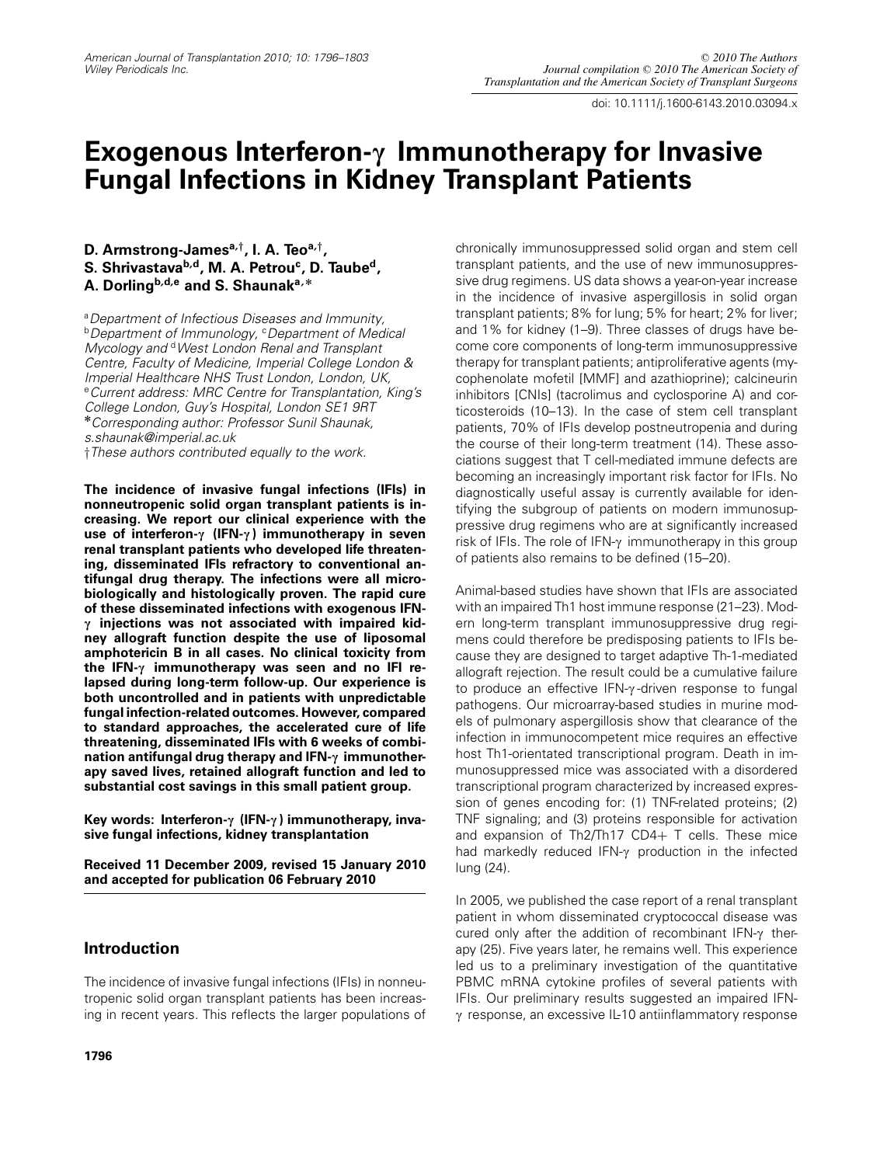*doi: 10.1111/j.1600-6143.2010.03094.x*

# **Exogenous Interferon-c Immunotherapy for Invasive Fungal Infections in Kidney Transplant Patients**

# **D. Armstrong-Jamesa,***†***, I. A. Teoa,***†***,** S. Shrivastava<sup>b,d</sup>, M. A. Petrou<sup>c</sup>, D. Taube<sup>d</sup>, **A. Dorlingb,d,<sup>e</sup> and S. Shaunaka, \***

*<sup>a</sup>Department of Infectious Diseases and Immunity, <sup>b</sup>Department of Immunology, <sup>c</sup>Department of Medical Mycology and <sup>d</sup>West London Renal and Transplant Centre, Faculty of Medicine, Imperial College London & Imperial Healthcare NHS Trust London, London, UK, <sup>e</sup>Current address: MRC Centre for Transplantation, King's College London, Guy's Hospital, London SE1 9RT* **\****Corresponding author: Professor Sunil Shaunak, s.shaunak@imperial.ac.uk*

†*These authors contributed equally to the work.*

**The incidence of invasive fungal infections (IFIs) in nonneutropenic solid organ transplant patients is increasing. We report our clinical experience with the use of interferon-c (IFN-c ) immunotherapy in seven renal transplant patients who developed life threatening, disseminated IFIs refractory to conventional antifungal drug therapy. The infections were all microbiologically and histologically proven. The rapid cure of these disseminated infections with exogenous IFNc injections was not associated with impaired kidney allograft function despite the use of liposomal amphotericin B in all cases. No clinical toxicity from the IFN-c immunotherapy was seen and no IFI relapsed during long-term follow-up. Our experience is both uncontrolled and in patients with unpredictable fungal infection-related outcomes. However, compared to standard approaches, the accelerated cure of life threatening, disseminated IFIs with 6 weeks of combination antifungal drug therapy and IFN-c immunotherapy saved lives, retained allograft function and led to substantial cost savings in this small patient group.**

**Key words: Interferon-c (IFN-c ) immunotherapy, invasive fungal infections, kidney transplantation**

**Received 11 December 2009, revised 15 January 2010 and accepted for publication 06 February 2010**

# **Introduction**

*The incidence of invasive fungal infections (IFIs) in nonneutropenic solid organ transplant patients has been increasing in recent years. This reflects the larger populations of* *chronically immunosuppressed solid organ and stem cell transplant patients, and the use of new immunosuppressive drug regimens. US data shows a year-on-year increase in the incidence of invasive aspergillosis in solid organ transplant patients; 8% for lung; 5% for heart; 2% for liver; and 1% for kidney (1–9). Three classes of drugs have become core components of long-term immunosuppressive therapy for transplant patients; antiproliferative agents (mycophenolate mofetil [MMF] and azathioprine); calcineurin inhibitors [CNIs] (tacrolimus and cyclosporine A) and corticosteroids (10–13). In the case of stem cell transplant patients, 70% of IFIs develop postneutropenia and during the course of their long-term treatment (14). These associations suggest that T cell-mediated immune defects are becoming an increasingly important risk factor for IFIs. No diagnostically useful assay is currently available for identifying the subgroup of patients on modern immunosuppressive drug regimens who are at significantly increased risk of IFIs. The role of IFN-* $\gamma$  *immunotherapy in this group of patients also remains to be defined (15–20).*

*Animal-based studies have shown that IFIs are associated with an impaired Th1 host immune response (21–23). Modern long-term transplant immunosuppressive drug regimens could therefore be predisposing patients to IFIs because they are designed to target adaptive Th-1-mediated allograft rejection. The result could be a cumulative failure* to produce an effective IFN-γ-driven response to fungal *pathogens. Our microarray-based studies in murine models of pulmonary aspergillosis show that clearance of the infection in immunocompetent mice requires an effective host Th1-orientated transcriptional program. Death in immunosuppressed mice was associated with a disordered transcriptional program characterized by increased expression of genes encoding for: (1) TNF-related proteins; (2) TNF signaling; and (3) proteins responsible for activation and expansion of Th2/Th17 CD4*+ *T cells. These mice* had markedly reduced IFN-γ production in the infected *lung (24).*

*In 2005, we published the case report of a renal transplant patient in whom disseminated cryptococcal disease was cured only after the addition of recombinant IFN-γ therapy (25). Five years later, he remains well. This experience led us to a preliminary investigation of the quantitative PBMC mRNA cytokine profiles of several patients with IFIs. Our preliminary results suggested an impaired IFN*c *response, an excessive IL-10 antiinflammatory response*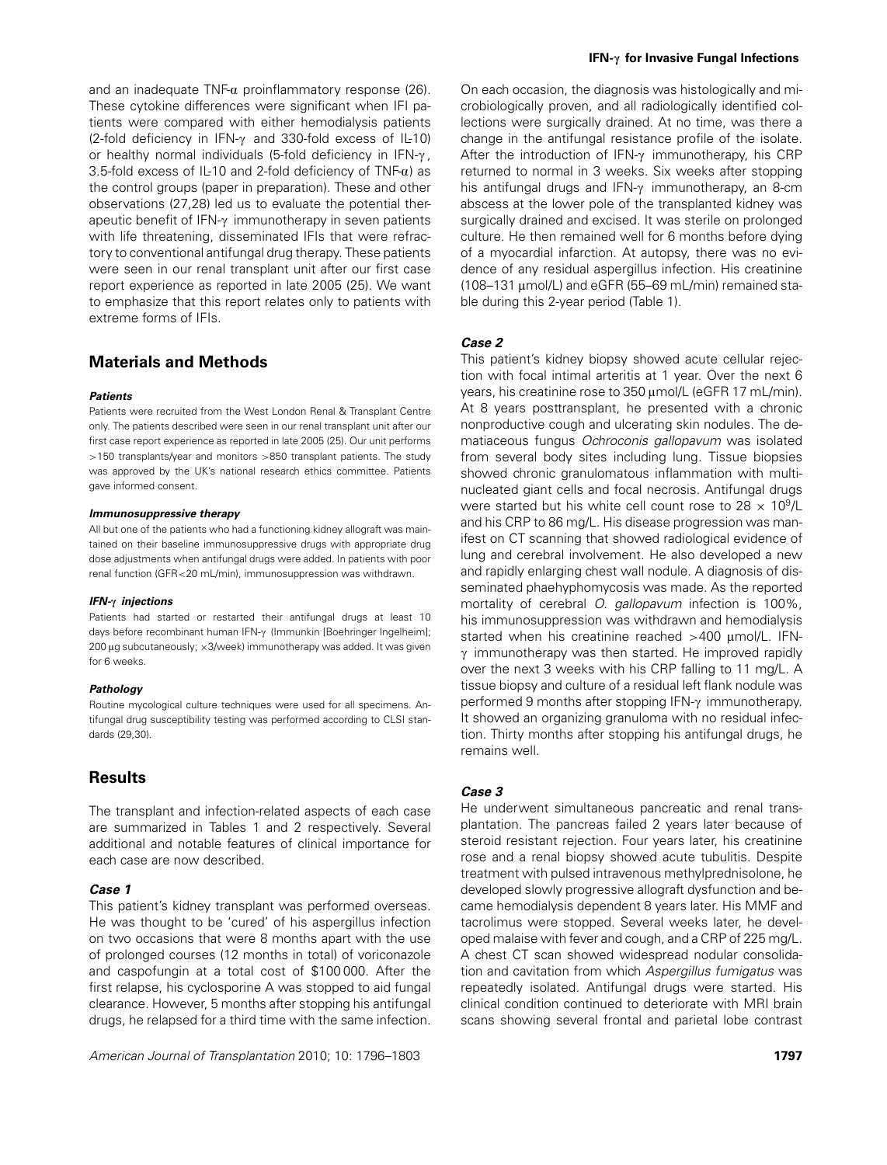*and an inadequate TNF-*a *proinflammatory response (26). These cytokine differences were significant when IFI patients were compared with either hemodialysis patients (2-fold deficiency in IFN-*c *and 330-fold excess of IL-10) or healthy normal individuals (5-fold deficiency in IFN-* $\gamma$ *, 3.5-fold excess of IL-10 and 2-fold deficiency of TNF-*a*) as the control groups (paper in preparation). These and other observations (27,28) led us to evaluate the potential therapeutic benefit of IFN-*c *immunotherapy in seven patients with life threatening, disseminated IFIs that were refractory to conventional antifungal drug therapy. These patients were seen in our renal transplant unit after our first case report experience as reported in late 2005 (25). We want to emphasize that this report relates only to patients with extreme forms of IFIs.*

# **Materials and Methods**

#### **Patients**

*Patients were recruited from the West London Renal & Transplant Centre only. The patients described were seen in our renal transplant unit after our first case report experience as reported in late 2005 (25). Our unit performs* >*150 transplants/year and monitors* >*850 transplant patients. The study was approved by the UK's national research ethics committee. Patients gave informed consent.*

#### **Immunosuppressive therapy**

*All but one of the patients who had a functioning kidney allograft was maintained on their baseline immunosuppressive drugs with appropriate drug dose adjustments when antifungal drugs were added. In patients with poor renal function (GFR*<*20 mL/min), immunosuppression was withdrawn.*

#### **IFN-c injections**

*Patients had started or restarted their antifungal drugs at least 10* days before recombinant human IFN-γ (Immunkin [Boehringer Ingelheim]; *200* l*g subcutaneously;* ×*3/week) immunotherapy was added. It was given for 6 weeks.*

#### **Pathology**

*Routine mycological culture techniques were used for all specimens. Antifungal drug susceptibility testing was performed according to CLSI standards (29,30).*

# **Results**

*The transplant and infection-related aspects of each case are summarized in Tables 1 and 2 respectively. Several additional and notable features of clinical importance for each case are now described.*

#### **Case 1**

*This patient's kidney transplant was performed overseas. He was thought to be 'cured' of his aspergillus infection on two occasions that were 8 months apart with the use of prolonged courses (12 months in total) of voriconazole and caspofungin at a total cost of \$100 000. After the first relapse, his cyclosporine A was stopped to aid fungal clearance. However, 5 months after stopping his antifungal drugs, he relapsed for a third time with the same infection.*

*On each occasion, the diagnosis was histologically and microbiologically proven, and all radiologically identified collections were surgically drained. At no time, was there a change in the antifungal resistance profile of the isolate. After the introduction of IFN-*c *immunotherapy, his CRP returned to normal in 3 weeks. Six weeks after stopping his antifungal drugs and IFN-*c *immunotherapy, an 8-cm abscess at the lower pole of the transplanted kidney was surgically drained and excised. It was sterile on prolonged culture. He then remained well for 6 months before dying of a myocardial infarction. At autopsy, there was no evidence of any residual aspergillus infection. His creatinine (108–131* l*mol/L) and eGFR (55–69 mL/min) remained stable during this 2-year period (Table 1).*

## **Case 2**

*This patient's kidney biopsy showed acute cellular rejection with focal intimal arteritis at 1 year. Over the next 6 years, his creatinine rose to 350 µmol/L (eGFR 17 mL/min). At 8 years posttransplant, he presented with a chronic nonproductive cough and ulcerating skin nodules. The dematiaceous fungus Ochroconis gallopavum was isolated from several body sites including lung. Tissue biopsies showed chronic granulomatous inflammation with multinucleated giant cells and focal necrosis. Antifungal drugs were started but his white cell count rose to 28*  $\times$  *10<sup>9</sup>/L and his CRP to 86 mg/L. His disease progression was manifest on CT scanning that showed radiological evidence of lung and cerebral involvement. He also developed a new and rapidly enlarging chest wall nodule. A diagnosis of disseminated phaehyphomycosis was made. As the reported mortality of cerebral O. gallopavum infection is 100%, his immunosuppression was withdrawn and hemodialysis* started when his creatinine reached >400 umol/L. IFN- $\gamma$  immunotherapy was then started. He improved rapidly *over the next 3 weeks with his CRP falling to 11 mg/L. A tissue biopsy and culture of a residual left flank nodule was performed 9 months after stopping IFN-*c *immunotherapy. It showed an organizing granuloma with no residual infection. Thirty months after stopping his antifungal drugs, he remains well.*

#### **Case 3**

*He underwent simultaneous pancreatic and renal transplantation. The pancreas failed 2 years later because of steroid resistant rejection. Four years later, his creatinine rose and a renal biopsy showed acute tubulitis. Despite treatment with pulsed intravenous methylprednisolone, he developed slowly progressive allograft dysfunction and became hemodialysis dependent 8 years later. His MMF and tacrolimus were stopped. Several weeks later, he developed malaise with fever and cough, and a CRP of 225 mg/L. A chest CT scan showed widespread nodular consolidation and cavitation from which Aspergillus fumigatus was repeatedly isolated. Antifungal drugs were started. His clinical condition continued to deteriorate with MRI brain scans showing several frontal and parietal lobe contrast*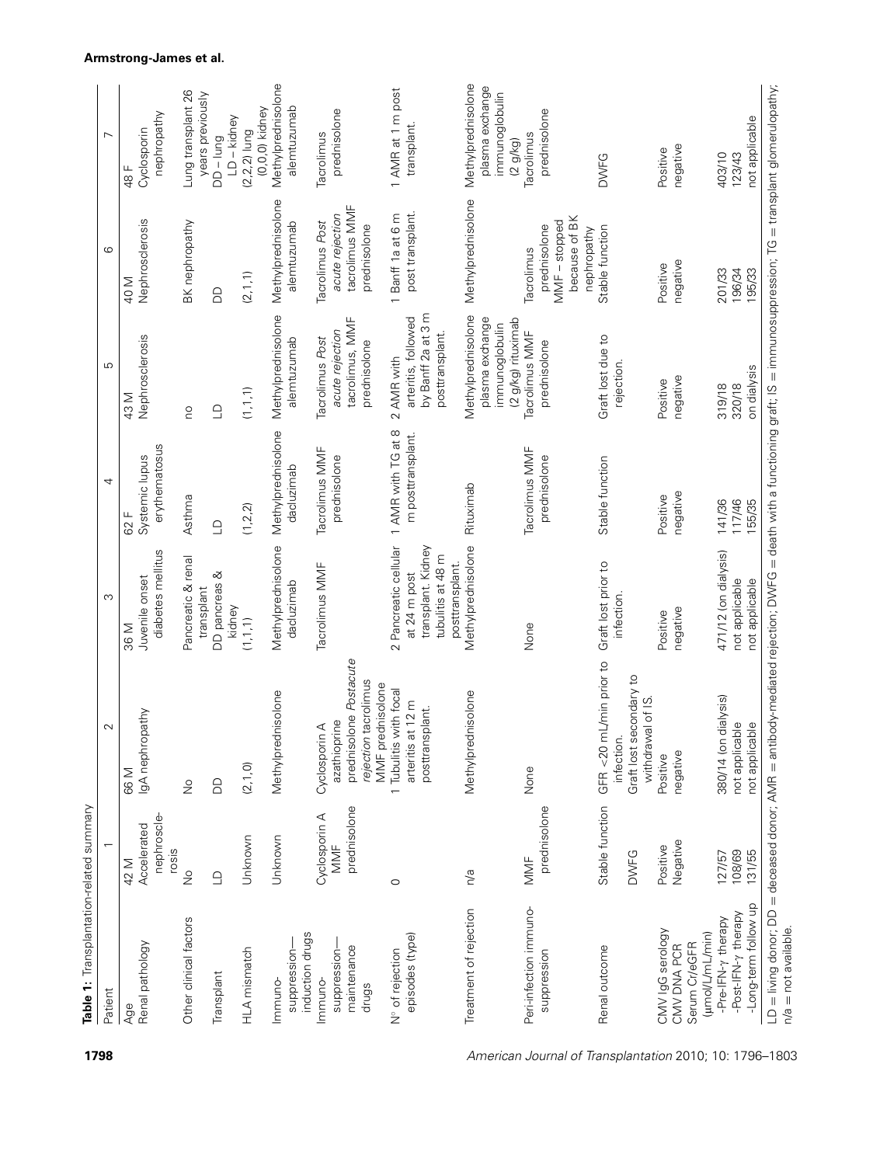| 2 Pancreatic cellular<br>Methylprednisolone<br>Methylprednisolone<br>transplant. Kidney<br>diabetes mellitus<br>tubulitis at 48 m<br>Pancreatic & renal<br>posttransplant.<br>Tacrolimus MMF<br>DD pancreas &<br>at 24 m post<br>Juvenile onset<br>dacluzimab<br>transplant<br>kidney<br>(1, 1, 1)<br>36 M<br>prednisolone Postacute<br>rejection tacrolimus<br>MMF prednisolone<br>1 Tubulitis with focal<br>Methylprednisolone<br>ednisolone<br>arteritis at 12 m<br>posttransplant.<br>lgA nephropathy<br>azathioprine<br>Cyclosporin A<br>Methylpr<br>(2, 1, 0)<br>66 M<br><b>GO</b><br>$\frac{1}{2}$<br>prednisolone<br>Cyclosporin A<br>nephroscle<br>Accelerated<br>Unknown<br>Unknown<br>MMF<br>rosis<br>42 M<br>$\frac{1}{2}$<br>n/a<br>$\supseteq$<br>$\circ$<br>Treatment of rejection<br>Other clinical factors<br>induction drugs<br>episodes (type)<br>Renal pathology<br>maintenance<br>suppression-<br>suppression-<br>HLA mismatch<br>N° of rejection<br>Transplant<br>Immuno-<br>Immuno-<br>drugs<br>Age |  | Methylprednisolone<br>1 AMR with TG at 8<br>erythematosus<br>Tacrolimus MMF<br>Systemic lupus<br>prednisolone<br>dacluzimab<br>Asthma<br>(1, 2, 2)<br>62 F<br>$\mathbf{C}$ | Methylprednisolone<br>tacrolimus, MMF<br>acute rejection<br>Nephrosclerosis<br>alemtuzumab<br>Tacrolimus Post<br>prednisolone<br>(1, 1, 1)<br>43 M<br>OU<br>$\mathbf{C}$ | Methylprednisolone<br>Nephrosclerosis<br>BK nephropathy<br>alemtuzumab<br>(2, 1, 1)<br>40 M<br>$\Omega$ | ung transplant 26<br>years previously<br>nephropathy<br>Cyclosporin<br>$DD - lung$<br>48 F |
|----------------------------------------------------------------------------------------------------------------------------------------------------------------------------------------------------------------------------------------------------------------------------------------------------------------------------------------------------------------------------------------------------------------------------------------------------------------------------------------------------------------------------------------------------------------------------------------------------------------------------------------------------------------------------------------------------------------------------------------------------------------------------------------------------------------------------------------------------------------------------------------------------------------------------------------------------------------------------------------------------------------------------|--|----------------------------------------------------------------------------------------------------------------------------------------------------------------------------|--------------------------------------------------------------------------------------------------------------------------------------------------------------------------|---------------------------------------------------------------------------------------------------------|--------------------------------------------------------------------------------------------|
|                                                                                                                                                                                                                                                                                                                                                                                                                                                                                                                                                                                                                                                                                                                                                                                                                                                                                                                                                                                                                            |  |                                                                                                                                                                            |                                                                                                                                                                          |                                                                                                         |                                                                                            |
|                                                                                                                                                                                                                                                                                                                                                                                                                                                                                                                                                                                                                                                                                                                                                                                                                                                                                                                                                                                                                            |  |                                                                                                                                                                            |                                                                                                                                                                          |                                                                                                         |                                                                                            |
|                                                                                                                                                                                                                                                                                                                                                                                                                                                                                                                                                                                                                                                                                                                                                                                                                                                                                                                                                                                                                            |  |                                                                                                                                                                            |                                                                                                                                                                          |                                                                                                         | LD-kidney                                                                                  |
|                                                                                                                                                                                                                                                                                                                                                                                                                                                                                                                                                                                                                                                                                                                                                                                                                                                                                                                                                                                                                            |  |                                                                                                                                                                            |                                                                                                                                                                          |                                                                                                         | $(0,0,0)$ kidney<br>$(2, 2, 2)$ lung                                                       |
|                                                                                                                                                                                                                                                                                                                                                                                                                                                                                                                                                                                                                                                                                                                                                                                                                                                                                                                                                                                                                            |  |                                                                                                                                                                            |                                                                                                                                                                          |                                                                                                         | Methylprednisolone<br>alemtuzumab                                                          |
|                                                                                                                                                                                                                                                                                                                                                                                                                                                                                                                                                                                                                                                                                                                                                                                                                                                                                                                                                                                                                            |  |                                                                                                                                                                            |                                                                                                                                                                          | tacrolimus MMF<br>acute rejection<br>Tacrolimus Post<br>prednisolone                                    | prednisolone<br>Tacrolimus                                                                 |
|                                                                                                                                                                                                                                                                                                                                                                                                                                                                                                                                                                                                                                                                                                                                                                                                                                                                                                                                                                                                                            |  | m posttransplant.                                                                                                                                                          | by Banff 2a at 3 m<br>arteritis, followed<br>posttransplant.<br>2 AMR with                                                                                               | post transplant.<br>Banff 1a at 6 m<br>$\overline{a}$                                                   | 1 AMR at 1 m post<br>transplant.                                                           |
|                                                                                                                                                                                                                                                                                                                                                                                                                                                                                                                                                                                                                                                                                                                                                                                                                                                                                                                                                                                                                            |  | Rituximab                                                                                                                                                                  | Methylprednisolone<br>plasma exchange<br>(2 g/kg) rituximab<br>immunoglobulin                                                                                            | Methylprednisolone                                                                                      | Methylprednisolone<br>plasma exchange<br>immunoglobulin<br>(2 g/kg)                        |
| None<br>None<br>prednisolone<br>MMF<br>Peri-infection immuno-<br>suppression                                                                                                                                                                                                                                                                                                                                                                                                                                                                                                                                                                                                                                                                                                                                                                                                                                                                                                                                               |  | Tacrolimus MMF<br>prednisolone                                                                                                                                             | Tacrolimus MMF<br>prednisolone                                                                                                                                           | because of BK<br>$MMF - stopped$<br>prednisolone<br>nephropathy<br>Tacrolimus                           | prednisolone<br>Tacrolimus                                                                 |
| Graft lost prior to<br>infection.<br>GFR <20 mL/min prior to<br>Graft lost secondary to<br>withdrawal of IS.<br>infection.<br>Stable function<br><b>DWFG</b><br>Renal outcome                                                                                                                                                                                                                                                                                                                                                                                                                                                                                                                                                                                                                                                                                                                                                                                                                                              |  | Stable function                                                                                                                                                            | Graft lost due to<br>rejection.                                                                                                                                          | Stable function                                                                                         | <b>DWFG</b>                                                                                |
| negative<br>Positive<br>negative<br>Positive<br>Negative<br>Positive<br>CMV IgG serology<br>(umol/L/mL/min)<br>Serum Cr/eGFR<br>CMV DNA PCR                                                                                                                                                                                                                                                                                                                                                                                                                                                                                                                                                                                                                                                                                                                                                                                                                                                                                |  | negative<br>Positive                                                                                                                                                       | negative<br>Positive                                                                                                                                                     | negative<br>Positive                                                                                    | negative<br>Positive                                                                       |
| 471/12 (on dialysis)<br>not applicable<br>not applicable<br>380/14 (on dialysis)<br>not applicable<br>not applicable<br>108/69<br>131/55<br>127/57<br>-Long-term follow up<br>-Post-IFN-y therapy<br>-Pre-IFN-y therapy                                                                                                                                                                                                                                                                                                                                                                                                                                                                                                                                                                                                                                                                                                                                                                                                    |  | 141/36<br>117/46<br>155/35                                                                                                                                                 | on dialysis<br>320/18<br>319/18                                                                                                                                          | 201/33<br>196/34<br>195/33                                                                              | not applicable<br>403/10<br>123/43                                                         |

## **Armstrong-James et al.**

**1798** *American Journal of Transplantation 2010; 10: 1796–1803*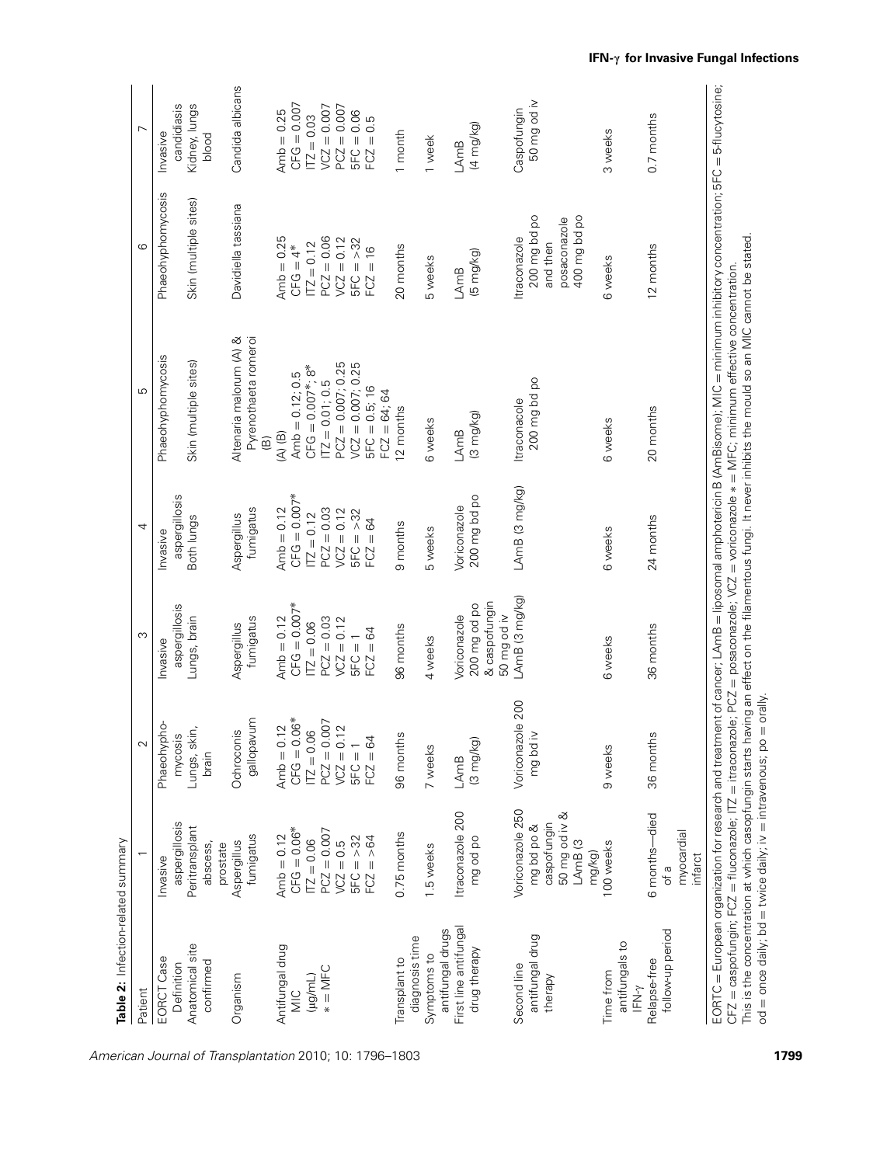| Table 2: Infection-related summary                  |                                                                            |                                          |                                              |                                  |                                                                                                                                                                              |                                                          |                                 |
|-----------------------------------------------------|----------------------------------------------------------------------------|------------------------------------------|----------------------------------------------|----------------------------------|------------------------------------------------------------------------------------------------------------------------------------------------------------------------------|----------------------------------------------------------|---------------------------------|
| Patient                                             |                                                                            | $\sim$                                   | S                                            | 4                                | 5                                                                                                                                                                            | ဖ                                                        | $\overline{ }$                  |
| EORCT Case<br>Definition                            | aspergillosis<br><b>Invasive</b>                                           | Phaeohypho-<br>mycosis                   | aspergillosis<br><b>Invasive</b>             | aspergillosis<br><b>Invasive</b> | Phaeohyphomycosis                                                                                                                                                            | Phaeohyphomycosis                                        | candidiasis<br><b>Invasive</b>  |
| Anatomical site<br>confirmed                        | Peritransplant<br>abscess,<br>prostate                                     | skin,<br>Lungs,<br>brain                 | Lungs, brain                                 | Both lungs                       | Skin (multiple sites)                                                                                                                                                        | Skin (multiple sites)                                    | Kidney, lungs<br>blood          |
| Organism                                            | fumigatus<br>Aspergillus                                                   | gallopavum<br>Ochroconis                 | fumigatus<br>Aspergillus                     | fumigatus<br>Aspergillus         | Pyrenothaeta romeroi<br>Altenaria malorum (A) &<br>$\widehat{\mathfrak{B}}$                                                                                                  | Davidiella tassiana                                      | Candida albicans                |
| Antifungal drug                                     | Amb = $0.12$<br>CFG = $0.06*$                                              | Amb $= 0.12$                             | Amb $= 0.12$                                 | Amb $= 0.12$                     | $(A)$ (B)                                                                                                                                                                    | Amb $= 0.25$                                             | Amb $= 0.25$                    |
| NIC                                                 | $TZ = 0.06$                                                                | $CFG = 0.06*$<br>$\overline{172} = 0.06$ | $CFG = 0.007*$<br>$172 = 0.06$               | $CFG = 0.007*$<br>$ITZ = 0.12$   | $CFG = 0.007*; 8*$<br>Amb $= 0.12; 0.5$                                                                                                                                      | $\Pi Z = 0.12$<br>$CFG = 4*$                             | $CFG = 0.007$<br>$\Pi Z = 0.03$ |
| $* =$ MFC<br>$(\mu g/mL)$                           | $PCZ = 0.007$                                                              | $PCZ = 0.007$                            | $PCZ = 0.03$                                 | $PCZ = 0.03$                     | $TZ = 0.01; 0.5$                                                                                                                                                             | $PCZ = 0.06$                                             | $V CZ = 0.007$                  |
|                                                     | $VCZ = 0.5$                                                                | $VCZ = 0.12$                             | $VCZ = 0.12$                                 | $VCZ = 0.12$                     | $PCZ = 0.007; 0.25$                                                                                                                                                          | $VCZ = 0.12$                                             | $PCZ = 0.007$                   |
|                                                     | $5FC = > 32$                                                               | $5FC = 1$                                | $5FC = 1$                                    | $5FC = >32$                      | $VCZ = 0.007; 0.25$                                                                                                                                                          | $5FC = > 32$                                             | $5FC = 0.06$                    |
|                                                     | $FCZ = > 64$                                                               | $FCZ = 64$                               | $FCZ = 64$                                   | 84<br>$FCZ = 0$                  | $5FC = 0.5; 16$<br>$FCZ = 64; 64$                                                                                                                                            | $= 16$<br>FC <sub>3</sub>                                | $= 0.5$<br>FCZ:                 |
| diagnosis time<br>Transplant to                     | 0.75 months                                                                | 96 months                                | 96 months                                    | 9 months                         | 12 months                                                                                                                                                                    | 20 months                                                | 1 month                         |
| antifungal drugs<br>Symptoms to                     | 1.5 weeks                                                                  | 7 weeks                                  | 4 weeks                                      | 5 weeks                          | 6 weeks                                                                                                                                                                      | 5 weeks                                                  | 1 week                          |
| First line antifungal                               | Itraconazole 200                                                           | LAmB                                     | Voriconazole                                 | Voriconazole                     | LAmB                                                                                                                                                                         | LAmB                                                     | LAmB                            |
| drug therapy                                        | mg od po                                                                   | (3 mg/kg)                                | & caspofungin<br>200 mg od po<br>50 mg od iv | 200 mg bd po                     | $(3 \text{ mg/kg})$                                                                                                                                                          | (5 mg/kg)                                                | (4 mg/kg)                       |
| Second line                                         | Voriconazole 250                                                           | Voriconazole 200                         | LAmB (3 mg/kg)                               | LAmB (3 mg/kg)                   | traconacole                                                                                                                                                                  | Itraconazole                                             | Caspofungin                     |
| antifungal drug<br>therapy                          | 50 mg od iv &<br>caspofungin<br>mg bd po &<br>LAmB <sub>(3</sub><br>mg/kg) | ×i pq<br>ng t                            |                                              |                                  | 200 mg bd po                                                                                                                                                                 | 200 mg bd po<br>400 mg bd po<br>posaconazole<br>and then | 50 mg od iv                     |
| antifungals to<br>Time from<br>$\mathsf{IFN}\gamma$ | 100 weeks                                                                  | 9 weeks                                  | 6 weeks                                      | 6 weeks                          | 6 weeks                                                                                                                                                                      | 6 weeks                                                  | 3 weeks                         |
| follow-up period<br>Relapse-free                    | 6 months-died<br>myocardial<br>infarct<br>of a                             | 36 months                                | 36 months                                    | 24 months                        | 20 months                                                                                                                                                                    | 12 months                                                | 0.7 months                      |
|                                                     |                                                                            |                                          |                                              |                                  | EORTC = European organization for research and treatment of cancer; LAmB = liposomal amphotericin B (AmBisome); MIC = minimum inhibitory concentration; 5FC = 5-flucytosine; |                                                          |                                 |

 *European organization for research and treatment of cancer; LAmB liposomal amphotericin B (AmBisome); MIC minimum inhibitory concentration; 5FC CFZ caspofungin; FCZ fluconazole; ITZ itraconazole; PCZ posaconazole; VCZ voriconazole* ∗ = *MFC; minimum effective concentration.* This is the concentration at which casopfungin starts having an effect on the filamentous fungi. It never inhibits the mould so an MIC cannot be stated. = *once daily; bd* = *twice daily; iv* | *intravenous; po* = *orally.*

*od*

*American Journal of Transplantation 2010; 10: 1796–1803* **1799**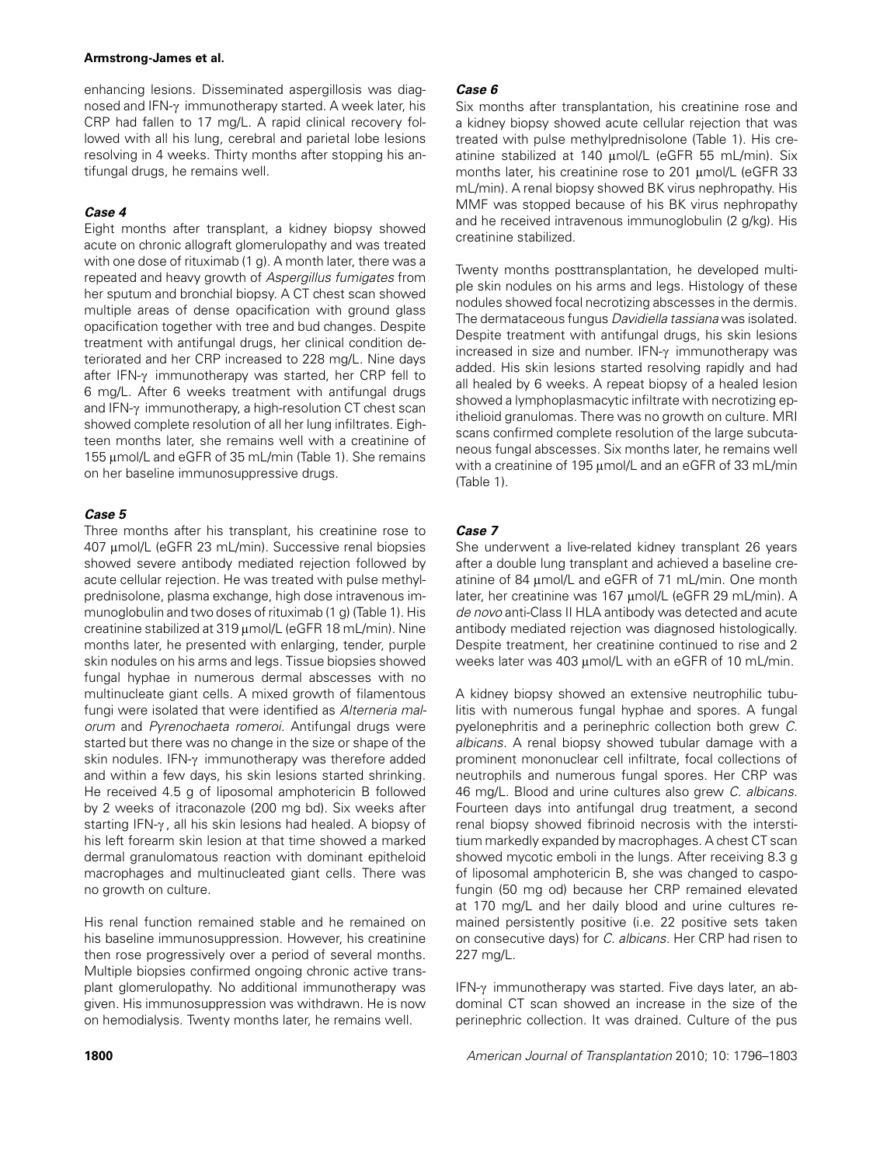#### **Armstrong-James et al.**

*enhancing lesions. Disseminated aspergillosis was diagnosed and IFN-*c *immunotherapy started. A week later, his CRP had fallen to 17 mg/L. A rapid clinical recovery followed with all his lung, cerebral and parietal lobe lesions resolving in 4 weeks. Thirty months after stopping his antifungal drugs, he remains well.*

## **Case 4**

*Eight months after transplant, a kidney biopsy showed acute on chronic allograft glomerulopathy and was treated with one dose of rituximab (1 g). A month later, there was a repeated and heavy growth of Aspergillus fumigates from her sputum and bronchial biopsy. A CT chest scan showed multiple areas of dense opacification with ground glass opacification together with tree and bud changes. Despite treatment with antifungal drugs, her clinical condition deteriorated and her CRP increased to 228 mg/L. Nine days after IFN-*c *immunotherapy was started, her CRP fell to 6 mg/L. After 6 weeks treatment with antifungal drugs and IFN-*c *immunotherapy, a high-resolution CT chest scan showed complete resolution of all her lung infiltrates. Eighteen months later, she remains well with a creatinine of 155* l*mol/L and eGFR of 35 mL/min (Table 1). She remains on her baseline immunosuppressive drugs.*

## **Case 5**

*Three months after his transplant, his creatinine rose to 407* l*mol/L (eGFR 23 mL/min). Successive renal biopsies showed severe antibody mediated rejection followed by acute cellular rejection. He was treated with pulse methylprednisolone, plasma exchange, high dose intravenous immunoglobulin and two doses of rituximab (1 g) (Table 1). His creatinine stabilized at 319 umol/L (eGFR 18 mL/min). Nine months later, he presented with enlarging, tender, purple skin nodules on his arms and legs. Tissue biopsies showed fungal hyphae in numerous dermal abscesses with no multinucleate giant cells. A mixed growth of filamentous fungi were isolated that were identified as Alterneria malorum and Pyrenochaeta romeroi. Antifungal drugs were started but there was no change in the size or shape of the skin nodules. IFN-*c *immunotherapy was therefore added and within a few days, his skin lesions started shrinking. He received 4.5 g of liposomal amphotericin B followed by 2 weeks of itraconazole (200 mg bd). Six weeks after starting IFN-*c *, all his skin lesions had healed. A biopsy of his left forearm skin lesion at that time showed a marked dermal granulomatous reaction with dominant epitheloid macrophages and multinucleated giant cells. There was no growth on culture.*

*His renal function remained stable and he remained on his baseline immunosuppression. However, his creatinine then rose progressively over a period of several months. Multiple biopsies confirmed ongoing chronic active transplant glomerulopathy. No additional immunotherapy was given. His immunosuppression was withdrawn. He is now on hemodialysis. Twenty months later, he remains well.*

## **Case 6**

*Six months after transplantation, his creatinine rose and a kidney biopsy showed acute cellular rejection that was treated with pulse methylprednisolone (Table 1). His cre*atinine stabilized at 140 µmol/L (eGFR 55 mL/min). Six *months later, his creatinine rose to 201 µmol/L (eGFR 33 mL/min). A renal biopsy showed BK virus nephropathy. His MMF was stopped because of his BK virus nephropathy and he received intravenous immunoglobulin (2 g/kg). His creatinine stabilized.*

*Twenty months posttransplantation, he developed multiple skin nodules on his arms and legs. Histology of these nodules showed focal necrotizing abscesses in the dermis. The dermataceous fungus Davidiella tassiana was isolated. Despite treatment with antifungal drugs, his skin lesions increased in size and number. IFN-* $\gamma$  *immunotherapy was added. His skin lesions started resolving rapidly and had all healed by 6 weeks. A repeat biopsy of a healed lesion showed a lymphoplasmacytic infiltrate with necrotizing epithelioid granulomas. There was no growth on culture. MRI scans confirmed complete resolution of the large subcutaneous fungal abscesses. Six months later, he remains well with a creatinine of 195 µmol/L and an eGFR of 33 mL/min (Table 1).*

## **Case 7**

*She underwent a live-related kidney transplant 26 years after a double lung transplant and achieved a baseline creatinine of 84* l*mol/L and eGFR of 71 mL/min. One month* later, her creatinine was 167 µmol/L (eGFR 29 mL/min). A *de novo anti-Class II HLA antibody was detected and acute antibody mediated rejection was diagnosed histologically. Despite treatment, her creatinine continued to rise and 2* weeks later was 403  $\mu$ mol/L with an eGFR of 10 mL/min.

*A kidney biopsy showed an extensive neutrophilic tubulitis with numerous fungal hyphae and spores. A fungal pyelonephritis and a perinephric collection both grew C. albicans. A renal biopsy showed tubular damage with a prominent mononuclear cell infiltrate, focal collections of neutrophils and numerous fungal spores. Her CRP was 46 mg/L. Blood and urine cultures also grew C. albicans. Fourteen days into antifungal drug treatment, a second renal biopsy showed fibrinoid necrosis with the interstitium markedly expanded by macrophages. A chest CT scan showed mycotic emboli in the lungs. After receiving 8.3 g of liposomal amphotericin B, she was changed to caspofungin (50 mg od) because her CRP remained elevated at 170 mg/L and her daily blood and urine cultures remained persistently positive (i.e. 22 positive sets taken on consecutive days) for C. albicans. Her CRP had risen to 227 mg/L.*

IFN- $\gamma$  immunotherapy was started. Five days later, an ab*dominal CT scan showed an increase in the size of the perinephric collection. It was drained. Culture of the pus*

**1800** *American Journal of Transplantation 2010; 10: 1796–1803*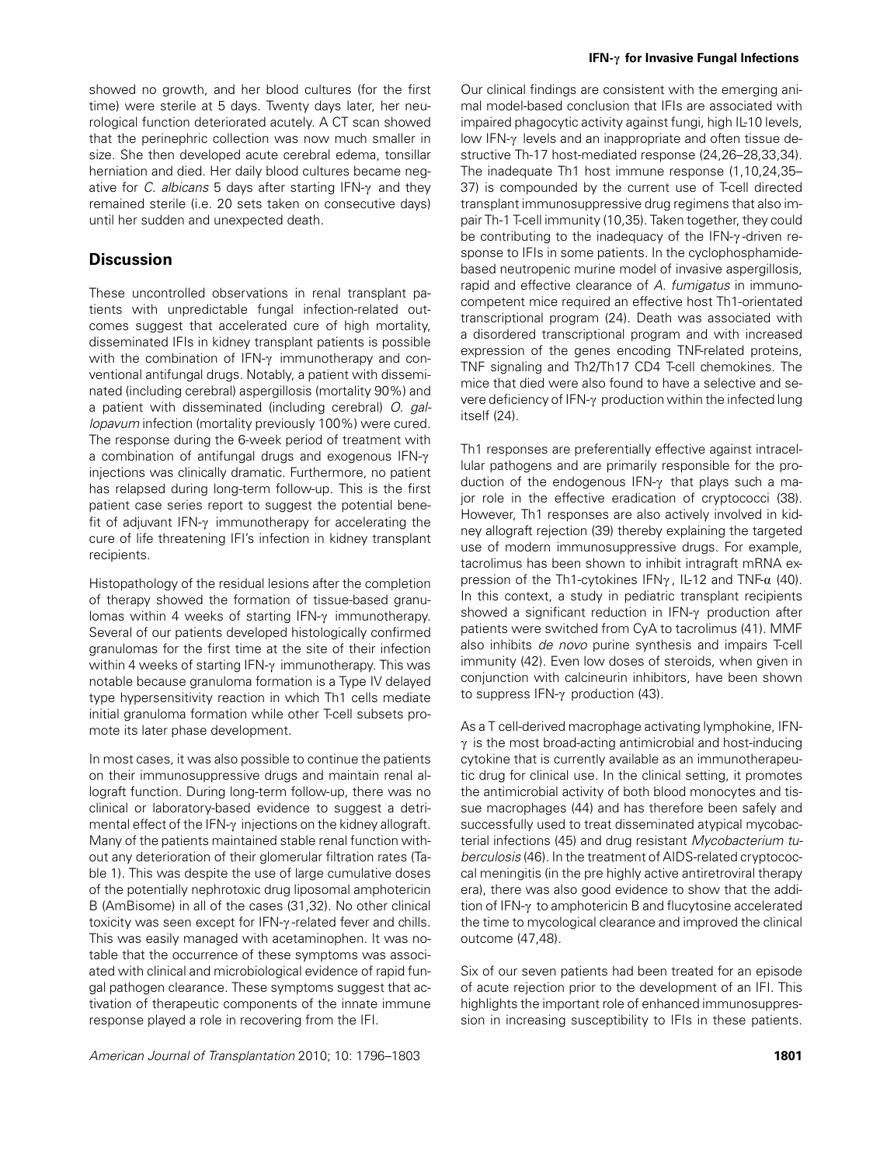*showed no growth, and her blood cultures (for the first time) were sterile at 5 days. Twenty days later, her neurological function deteriorated acutely. A CT scan showed that the perinephric collection was now much smaller in size. She then developed acute cerebral edema, tonsillar herniation and died. Her daily blood cultures became negative for C. albicans 5 days after starting IFN-*c *and they remained sterile (i.e. 20 sets taken on consecutive days) until her sudden and unexpected death.*

# **Discussion**

*These uncontrolled observations in renal transplant patients with unpredictable fungal infection-related outcomes suggest that accelerated cure of high mortality, disseminated IFIs in kidney transplant patients is possible* with the combination of IFN-γ *immunotherapy and conventional antifungal drugs. Notably, a patient with disseminated (including cerebral) aspergillosis (mortality 90%) and a patient with disseminated (including cerebral) O. gallopavum infection (mortality previously 100%) were cured. The response during the 6-week period of treatment with a* combination of antifungal drugs and exogenous IFN- $\gamma$ *injections was clinically dramatic. Furthermore, no patient has relapsed during long-term follow-up. This is the first patient case series report to suggest the potential benefit of adjuvant IFN-* $\gamma$  *immunotherapy for accelerating the cure of life threatening IFI's infection in kidney transplant recipients.*

*Histopathology of the residual lesions after the completion of therapy showed the formation of tissue-based granulomas within 4 weeks of starting IFN-γ immunotherapy. Several of our patients developed histologically confirmed granulomas for the first time at the site of their infection within 4 weeks of starting IFN-*c *immunotherapy. This was notable because granuloma formation is a Type IV delayed type hypersensitivity reaction in which Th1 cells mediate initial granuloma formation while other T-cell subsets promote its later phase development.*

*In most cases, it was also possible to continue the patients on their immunosuppressive drugs and maintain renal allograft function. During long-term follow-up, there was no clinical or laboratory-based evidence to suggest a detrimental effect of the IFN-γ injections on the kidney allograft. Many of the patients maintained stable renal function without any deterioration of their glomerular filtration rates (Table 1). This was despite the use of large cumulative doses of the potentially nephrotoxic drug liposomal amphotericin B (AmBisome) in all of the cases (31,32). No other clinical toxicity was seen except for IFN-y-related fever and chills. This was easily managed with acetaminophen. It was notable that the occurrence of these symptoms was associated with clinical and microbiological evidence of rapid fungal pathogen clearance. These symptoms suggest that activation of therapeutic components of the innate immune response played a role in recovering from the IFI.*

*Our clinical findings are consistent with the emerging animal model-based conclusion that IFIs are associated with impaired phagocytic activity against fungi, high IL-10 levels,* low IFN-γ levels and an inappropriate and often tissue de*structive Th-17 host-mediated response (24,26–28,33,34). The inadequate Th1 host immune response (1,10,24,35– 37) is compounded by the current use of T-cell directed transplant immunosuppressive drug regimens that also impair Th-1 T-cell immunity (10,35). Taken together, they could* be contributing to the inadequacy of the IFN- $\gamma$ -driven re*sponse to IFIs in some patients. In the cyclophosphamidebased neutropenic murine model of invasive aspergillosis, rapid and effective clearance of A. fumigatus in immunocompetent mice required an effective host Th1-orientated transcriptional program (24). Death was associated with a disordered transcriptional program and with increased expression of the genes encoding TNF-related proteins, TNF signaling and Th2/Th17 CD4 T-cell chemokines. The mice that died were also found to have a selective and severe deficiency of IFN-γ production within the infected lung itself (24).*

*Th1 responses are preferentially effective against intracellular pathogens and are primarily responsible for the production of the endogenous IFN-*c *that plays such a major role in the effective eradication of cryptococci (38). However, Th1 responses are also actively involved in kidney allograft rejection (39) thereby explaining the targeted use of modern immunosuppressive drugs. For example, tacrolimus has been shown to inhibit intragraft mRNA expression of the Th1-cytokines IFNγ, IL-12 and TNF-α (40). In this context, a study in pediatric transplant recipients showed a significant reduction in IFN-*c *production after patients were switched from CyA to tacrolimus (41). MMF also inhibits de novo purine synthesis and impairs T-cell immunity (42). Even low doses of steroids, when given in conjunction with calcineurin inhibitors, have been shown to suppress IFN-*c *production (43).*

*As a T cell-derived macrophage activating lymphokine, IFN-* $\gamma$  is the most broad-acting antimicrobial and host-inducing *cytokine that is currently available as an immunotherapeutic drug for clinical use. In the clinical setting, it promotes the antimicrobial activity of both blood monocytes and tissue macrophages (44) and has therefore been safely and successfully used to treat disseminated atypical mycobacterial infections (45) and drug resistant Mycobacterium tuberculosis (46). In the treatment of AIDS-related cryptococcal meningitis (in the pre highly active antiretroviral therapy era), there was also good evidence to show that the addition of IFN-*c *to amphotericin B and flucytosine accelerated the time to mycological clearance and improved the clinical outcome (47,48).*

*Six of our seven patients had been treated for an episode of acute rejection prior to the development of an IFI. This highlights the important role of enhanced immunosuppression in increasing susceptibility to IFIs in these patients.*

*American Journal of Transplantation 2010; 10: 1796–1803* **1801**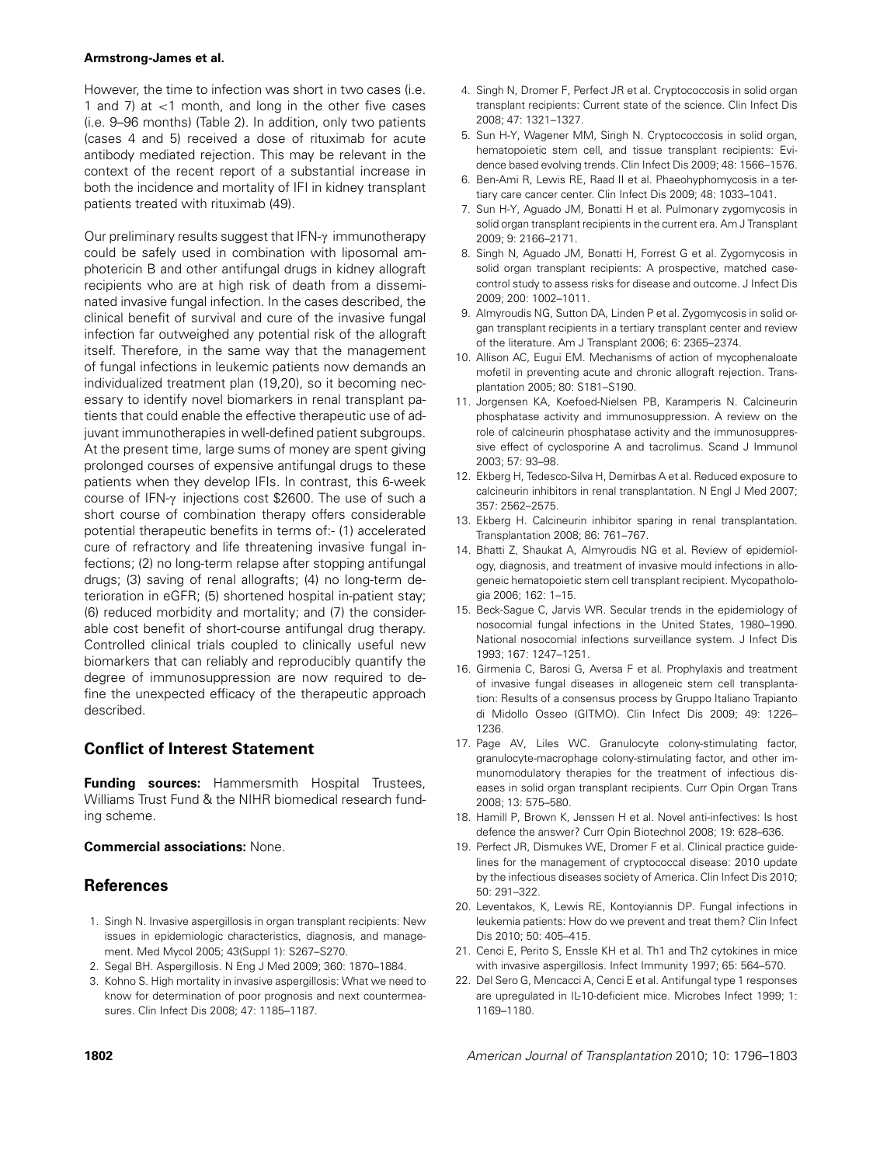#### **Armstrong-James et al.**

*However, the time to infection was short in two cases (i.e. 1 and 7) at* <*1 month, and long in the other five cases (i.e. 9–96 months) (Table 2). In addition, only two patients (cases 4 and 5) received a dose of rituximab for acute antibody mediated rejection. This may be relevant in the context of the recent report of a substantial increase in both the incidence and mortality of IFI in kidney transplant patients treated with rituximab (49).*

*Our preliminary results suggest that IFN-*c *immunotherapy could be safely used in combination with liposomal amphotericin B and other antifungal drugs in kidney allograft recipients who are at high risk of death from a disseminated invasive fungal infection. In the cases described, the clinical benefit of survival and cure of the invasive fungal infection far outweighed any potential risk of the allograft itself. Therefore, in the same way that the management of fungal infections in leukemic patients now demands an individualized treatment plan (19,20), so it becoming necessary to identify novel biomarkers in renal transplant patients that could enable the effective therapeutic use of adjuvant immunotherapies in well-defined patient subgroups. At the present time, large sums of money are spent giving prolonged courses of expensive antifungal drugs to these patients when they develop IFIs. In contrast, this 6-week course of IFN-*c *injections cost \$2600. The use of such a short course of combination therapy offers considerable potential therapeutic benefits in terms of:- (1) accelerated cure of refractory and life threatening invasive fungal infections; (2) no long-term relapse after stopping antifungal drugs; (3) saving of renal allografts; (4) no long-term deterioration in eGFR; (5) shortened hospital in-patient stay; (6) reduced morbidity and mortality; and (7) the considerable cost benefit of short-course antifungal drug therapy. Controlled clinical trials coupled to clinically useful new biomarkers that can reliably and reproducibly quantify the degree of immunosuppression are now required to define the unexpected efficacy of the therapeutic approach described.*

# **Conflict of Interest Statement**

**Funding sources:** *Hammersmith Hospital Trustees, Williams Trust Fund & the NIHR biomedical research funding scheme.*

## **Commercial associations:** *None.*

# **References**

- *1. Singh N. Invasive aspergillosis in organ transplant recipients: New issues in epidemiologic characteristics, diagnosis, and management. Med Mycol 2005; 43(Suppl 1): S267–S270.*
- *2. Segal BH. Aspergillosis. N Eng J Med 2009; 360: 1870–1884.*
- *3. Kohno S. High mortality in invasive aspergillosis: What we need to know for determination of poor prognosis and next countermeasures. Clin Infect Dis 2008; 47: 1185–1187.*
- *4. Singh N, Dromer F, Perfect JR et al. Cryptococcosis in solid organ transplant recipients: Current state of the science. Clin Infect Dis 2008; 47: 1321–1327.*
- *5. Sun H-Y, Wagener MM, Singh N. Cryptococcosis in solid organ, hematopoietic stem cell, and tissue transplant recipients: Evidence based evolving trends. Clin Infect Dis 2009; 48: 1566–1576.*
- *6. Ben-Ami R, Lewis RE, Raad II et al. Phaeohyphomycosis in a tertiary care cancer center. Clin Infect Dis 2009; 48: 1033–1041.*
- *7. Sun H-Y, Aguado JM, Bonatti H et al. Pulmonary zygomycosis in solid organ transplant recipients in the current era. Am J Transplant 2009; 9: 2166–2171.*
- *8. Singh N, Aguado JM, Bonatti H, Forrest G et al. Zygomycosis in solid organ transplant recipients: A prospective, matched casecontrol study to assess risks for disease and outcome. J Infect Dis 2009; 200: 1002–1011.*
- *9. Almyroudis NG, Sutton DA, Linden P et al. Zygomycosis in solid organ transplant recipients in a tertiary transplant center and review of the literature. Am J Transplant 2006; 6: 2365–2374.*
- *10. Allison AC, Eugui EM. Mechanisms of action of mycophenaloate mofetil in preventing acute and chronic allograft rejection. Transplantation 2005; 80: S181–S190.*
- *11. Jorgensen KA, Koefoed-Nielsen PB, Karamperis N. Calcineurin phosphatase activity and immunosuppression. A review on the role of calcineurin phosphatase activity and the immunosuppressive effect of cyclosporine A and tacrolimus. Scand J Immunol 2003; 57: 93–98.*
- *12. Ekberg H, Tedesco-Silva H, Demirbas A et al. Reduced exposure to calcineurin inhibitors in renal transplantation. N Engl J Med 2007; 357: 2562–2575.*
- *13. Ekberg H. Calcineurin inhibitor sparing in renal transplantation. Transplantation 2008; 86: 761–767.*
- *14. Bhatti Z, Shaukat A, Almyroudis NG et al. Review of epidemiology, diagnosis, and treatment of invasive mould infections in allogeneic hematopoietic stem cell transplant recipient. Mycopathologia 2006; 162: 1–15.*
- *15. Beck-Sague C, Jarvis WR. Secular trends in the epidemiology of nosocomial fungal infections in the United States, 1980–1990. National nosocomial infections surveillance system. J Infect Dis 1993; 167: 1247–1251.*
- *16. Girmenia C, Barosi G, Aversa F et al. Prophylaxis and treatment of invasive fungal diseases in allogeneic stem cell transplantation: Results of a consensus process by Gruppo Italiano Trapianto di Midollo Osseo (GITMO). Clin Infect Dis 2009; 49: 1226– 1236.*
- *17. Page AV, Liles WC. Granulocyte colony-stimulating factor, granulocyte-macrophage colony-stimulating factor, and other immunomodulatory therapies for the treatment of infectious diseases in solid organ transplant recipients. Curr Opin Organ Trans 2008; 13: 575–580.*
- *18. Hamill P, Brown K, Jenssen H et al. Novel anti-infectives: Is host defence the answer? Curr Opin Biotechnol 2008; 19: 628–636.*
- *19. Perfect JR, Dismukes WE, Dromer F et al. Clinical practice guidelines for the management of cryptococcal disease: 2010 update by the infectious diseases society of America. Clin Infect Dis 2010; 50: 291–322.*
- *20. Leventakos, K, Lewis RE, Kontoyiannis DP. Fungal infections in leukemia patients: How do we prevent and treat them? Clin Infect Dis 2010; 50: 405–415.*
- *21. Cenci E, Perito S, Enssle KH et al. Th1 and Th2 cytokines in mice with invasive aspergillosis. Infect Immunity 1997; 65: 564–570.*
- *22. Del Sero G, Mencacci A, Cenci E et al. Antifungal type 1 responses are upregulated in IL-10-deficient mice. Microbes Infect 1999; 1: 1169–1180.*

**1802** *American Journal of Transplantation 2010; 10: 1796–1803*